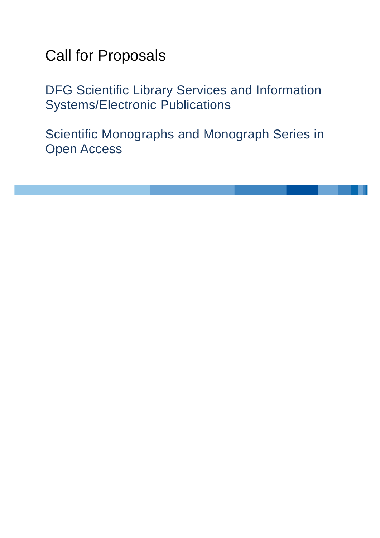# Call for Proposals

DFG Scientific Library Services and Information Systems/Electronic Publications

Scientific Monographs and Monograph Series in Open Access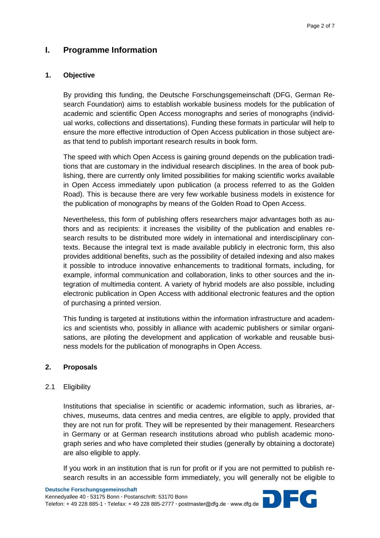# **I. Programme Information**

### **1. Objective**

By providing this funding, the Deutsche Forschungsgemeinschaft (DFG, German Research Foundation) aims to establish workable business models for the publication of academic and scientific Open Access monographs and series of monographs (individual works, collections and dissertations). Funding these formats in particular will help to ensure the more effective introduction of Open Access publication in those subject areas that tend to publish important research results in book form.

The speed with which Open Access is gaining ground depends on the publication traditions that are customary in the individual research disciplines. In the area of book publishing, there are currently only limited possibilities for making scientific works available in Open Access immediately upon publication (a process referred to as the Golden Road). This is because there are very few workable business models in existence for the publication of monographs by means of the Golden Road to Open Access.

Nevertheless, this form of publishing offers researchers major advantages both as authors and as recipients: it increases the visibility of the publication and enables research results to be distributed more widely in international and interdisciplinary contexts. Because the integral text is made available publicly in electronic form, this also provides additional benefits, such as the possibility of detailed indexing and also makes it possible to introduce innovative enhancements to traditional formats, including, for example, informal communication and collaboration, links to other sources and the integration of multimedia content. A variety of hybrid models are also possible, including electronic publication in Open Access with additional electronic features and the option of purchasing a printed version.

This funding is targeted at institutions within the information infrastructure and academics and scientists who, possibly in alliance with academic publishers or similar organisations, are piloting the development and application of workable and reusable business models for the publication of monographs in Open Access.

#### **2. Proposals**

#### 2.1 Eligibility

Institutions that specialise in scientific or academic information, such as libraries, archives, museums, data centres and media centres, are eligible to apply, provided that they are not run for profit. They will be represented by their management. Researchers in Germany or at German research institutions abroad who publish academic monograph series and who have completed their studies (generally by obtaining a doctorate) are also eligible to apply.

If you work in an institution that is run for profit or if you are not permitted to publish research results in an accessible form immediately, you will generally not be eligible to

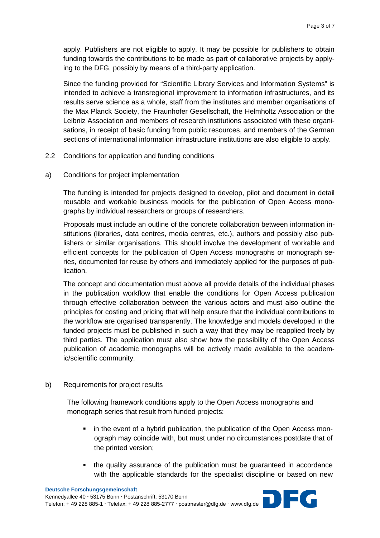apply. Publishers are not eligible to apply. It may be possible for publishers to obtain funding towards the contributions to be made as part of collaborative projects by applying to the DFG, possibly by means of a third-party application.

Since the funding provided for "Scientific Library Services and Information Systems" is intended to achieve a transregional improvement to information infrastructures, and its results serve science as a whole, staff from the institutes and member organisations of the Max Planck Society, the Fraunhofer Gesellschaft, the Helmholtz Association or the Leibniz Association and members of research institutions associated with these organisations, in receipt of basic funding from public resources, and members of the German sections of international information infrastructure institutions are also eligible to apply.

- 2.2 Conditions for application and funding conditions
- a) Conditions for project implementation

The funding is intended for projects designed to develop, pilot and document in detail reusable and workable business models for the publication of Open Access monographs by individual researchers or groups of researchers.

Proposals must include an outline of the concrete collaboration between information institutions (libraries, data centres, media centres, etc.), authors and possibly also publishers or similar organisations. This should involve the development of workable and efficient concepts for the publication of Open Access monographs or monograph series, documented for reuse by others and immediately applied for the purposes of publication.

The concept and documentation must above all provide details of the individual phases in the publication workflow that enable the conditions for Open Access publication through effective collaboration between the various actors and must also outline the principles for costing and pricing that will help ensure that the individual contributions to the workflow are organised transparently. The knowledge and models developed in the funded projects must be published in such a way that they may be reapplied freely by third parties. The application must also show how the possibility of the Open Access publication of academic monographs will be actively made available to the academic/scientific community.

#### b) Requirements for project results

The following framework conditions apply to the Open Access monographs and monograph series that result from funded projects:

- in the event of a hybrid publication, the publication of the Open Access monograph may coincide with, but must under no circumstances postdate that of the printed version;
- the quality assurance of the publication must be quaranteed in accordance with the applicable standards for the specialist discipline or based on new

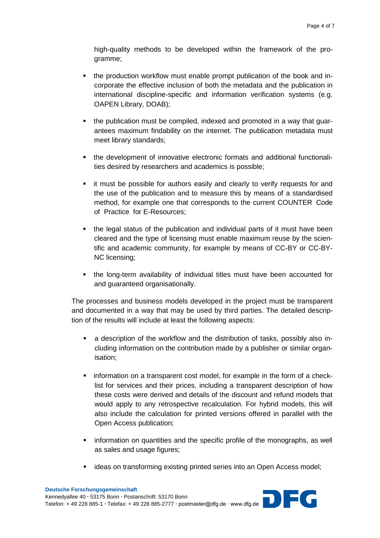high-quality methods to be developed within the framework of the programme;

- the production workflow must enable prompt publication of the book and incorporate the effective inclusion of both the metadata and the publication in international discipline-specific and information verification systems (e.g. OAPEN Library, DOAB);
- the publication must be compiled, indexed and promoted in a way that guarantees maximum findability on the internet. The publication metadata must meet library standards;
- the development of innovative electronic formats and additional functionalities desired by researchers and academics is possible;
- it must be possible for authors easily and clearly to verify requests for and the use of the publication and to measure this by means of a standardised method, for example one that corresponds to the current COUNTER Code of Practice for E-Resources;
- the legal status of the publication and individual parts of it must have been cleared and the type of licensing must enable maximum reuse by the scientific and academic community, for example by means of CC-BY or CC-BY-NC licensing;
- the long-term availability of individual titles must have been accounted for and guaranteed organisationally.

The processes and business models developed in the project must be transparent and documented in a way that may be used by third parties. The detailed description of the results will include at least the following aspects:

- a description of the workflow and the distribution of tasks, possibly also including information on the contribution made by a publisher or similar organisation;
- **F** information on a transparent cost model, for example in the form of a checklist for services and their prices, including a transparent description of how these costs were derived and details of the discount and refund models that would apply to any retrospective recalculation. For hybrid models, this will also include the calculation for printed versions offered in parallel with the Open Access publication;
- **EXEDENT INTER 15 Information on quantities and the specific profile of the monographs, as well** as sales and usage figures;
- ideas on transforming existing printed series into an Open Access model;

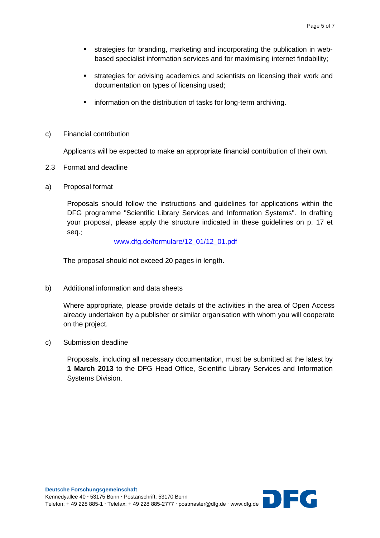- strategies for branding, marketing and incorporating the publication in webbased specialist information services and for maximising internet findability;
- strategies for advising academics and scientists on licensing their work and documentation on types of licensing used;
- **information on the distribution of tasks for long-term archiving.**
- c) Financial contribution

Applicants will be expected to make an appropriate financial contribution of their own.

- 2.3 Format and deadline
- a) Proposal format

Proposals should follow the instructions and guidelines for applications within the DFG programme "Scientific Library Services and Information Systems". In drafting your proposal, please apply the structure indicated in these guidelines on p. 17 et seq.:

[www.dfg.de/formulare/12\\_01/12\\_01.pdf](http://www.dfg.de/formulare/12_01/12_01.pdf)

The proposal should not exceed 20 pages in length.

b) Additional information and data sheets

Where appropriate, please provide details of the activities in the area of Open Access already undertaken by a publisher or similar organisation with whom you will cooperate on the project.

c) Submission deadline

Proposals, including all necessary documentation, must be submitted at the latest by **1 March 2013** to the DFG Head Office, Scientific Library Services and Information Systems Division.

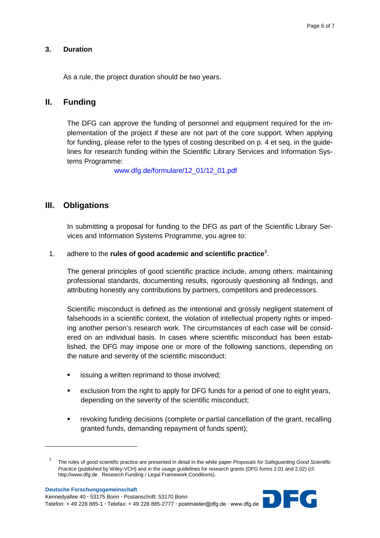## **3. Duration**

As a rule, the project duration should be two years.

## **II. Funding**

The DFG can approve the funding of personnel and equipment required for the implementation of the project if these are not part of the core support. When applying for funding, please refer to the types of costing described on p. 4 et seq. in the guidelines for research funding within the Scientific Library Services and Information Systems Programme:

[www.dfg.de/formulare/12\\_01/12\\_01.pdf](http://www.dfg.de/formulare/12_01/12_01.pdf)

# **III. Obligations**

In submitting a proposal for funding to the DFG as part of the Scientific Library Services and Information Systems Programme, you agree to:

## 1. adhere to the **rules of good academic and scientific practice[1](#page-5-0)** .

The general principles of good scientific practice include, among others: maintaining professional standards, documenting results, rigorously questioning all findings, and attributing honestly any contributions by partners, competitors and predecessors.

Scientific misconduct is defined as the intentional and grossly negligent statement of falsehoods in a scientific context, the violation of intellectual property rights or impeding another person's research work. The circumstances of each case will be considered on an individual basis. In cases where scientific misconduct has been established, the DFG may impose one or more of the following sanctions, depending on the nature and severity of the scientific misconduct:

- issuing a written reprimand to those involved;
- exclusion from the right to apply for DFG funds for a period of one to eight years, depending on the severity of the scientific misconduct;
- revoking funding decisions (complete or partial cancellation of the grant, recalling granted funds, demanding repayment of funds spent);

<span id="page-5-0"></span>**.** 



<sup>1</sup> The rules of good scientific practice are presented in detail in the white paper *Proposals for Safeguarding Good Scientific Practice* (published by Wiley-VCH) and in the usage guidelines for research grants (DFG forms 2.01 and 2.02) (cf. http://www.dfg.de Research Funding / Legal Framework Conditions).